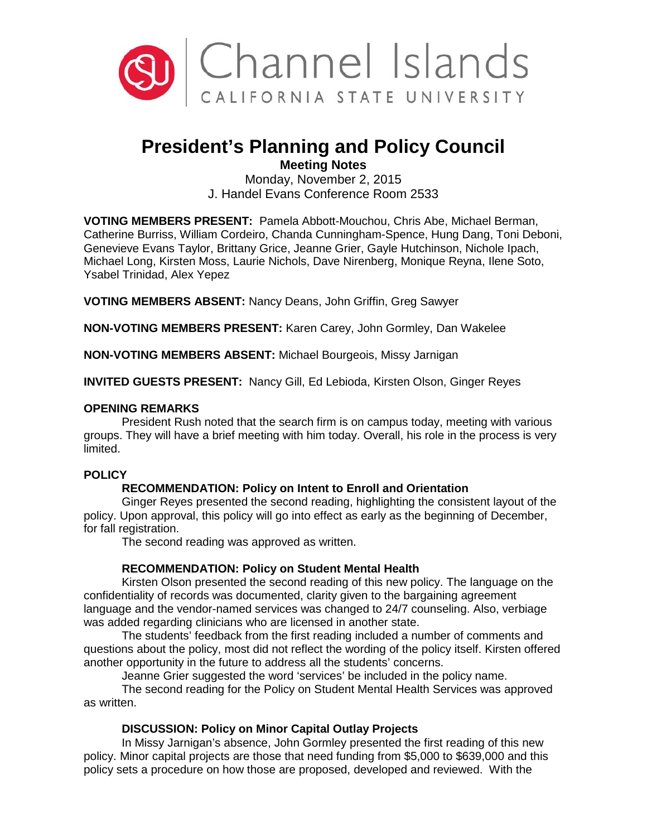

# **President's Planning and Policy Council**

**Meeting Notes**

Monday, November 2, 2015 J. Handel Evans Conference Room 2533

**VOTING MEMBERS PRESENT:** Pamela Abbott-Mouchou, Chris Abe, Michael Berman, Catherine Burriss, William Cordeiro, Chanda Cunningham-Spence, Hung Dang, Toni Deboni, Genevieve Evans Taylor, Brittany Grice, Jeanne Grier, Gayle Hutchinson, Nichole Ipach, Michael Long, Kirsten Moss, Laurie Nichols, Dave Nirenberg, Monique Reyna, Ilene Soto, Ysabel Trinidad, Alex Yepez

**VOTING MEMBERS ABSENT:** Nancy Deans, John Griffin, Greg Sawyer

**NON-VOTING MEMBERS PRESENT:** Karen Carey, John Gormley, Dan Wakelee

**NON-VOTING MEMBERS ABSENT:** Michael Bourgeois, Missy Jarnigan

**INVITED GUESTS PRESENT:** Nancy Gill, Ed Lebioda, Kirsten Olson, Ginger Reyes

### **OPENING REMARKS**

President Rush noted that the search firm is on campus today, meeting with various groups. They will have a brief meeting with him today. Overall, his role in the process is very limited.

### **POLICY**

## **RECOMMENDATION: Policy on Intent to Enroll and Orientation**

Ginger Reyes presented the second reading, highlighting the consistent layout of the policy. Upon approval, this policy will go into effect as early as the beginning of December, for fall registration.

The second reading was approved as written.

## **RECOMMENDATION: Policy on Student Mental Health**

Kirsten Olson presented the second reading of this new policy. The language on the confidentiality of records was documented, clarity given to the bargaining agreement language and the vendor-named services was changed to 24/7 counseling. Also, verbiage was added regarding clinicians who are licensed in another state.

The students' feedback from the first reading included a number of comments and questions about the policy, most did not reflect the wording of the policy itself. Kirsten offered another opportunity in the future to address all the students' concerns.

Jeanne Grier suggested the word 'services' be included in the policy name. The second reading for the Policy on Student Mental Health Services was approved as written.

## **DISCUSSION: Policy on Minor Capital Outlay Projects**

In Missy Jarnigan's absence, John Gormley presented the first reading of this new policy. Minor capital projects are those that need funding from \$5,000 to \$639,000 and this policy sets a procedure on how those are proposed, developed and reviewed. With the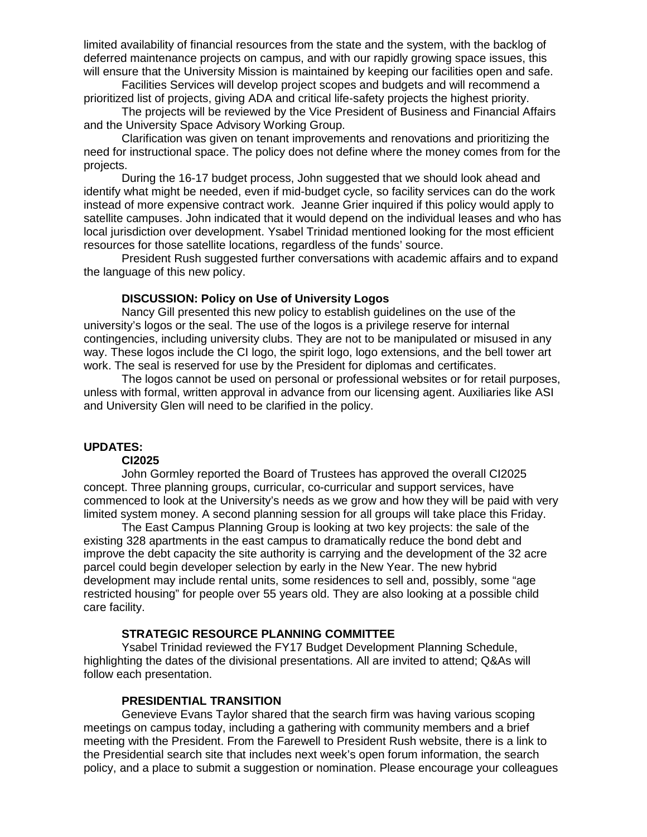limited availability of financial resources from the state and the system, with the backlog of deferred maintenance projects on campus, and with our rapidly growing space issues, this will ensure that the University Mission is maintained by keeping our facilities open and safe.

Facilities Services will develop project scopes and budgets and will recommend a prioritized list of projects, giving ADA and critical life-safety projects the highest priority.

The projects will be reviewed by the Vice President of Business and Financial Affairs and the University Space Advisory Working Group.

Clarification was given on tenant improvements and renovations and prioritizing the need for instructional space. The policy does not define where the money comes from for the projects.

During the 16-17 budget process, John suggested that we should look ahead and identify what might be needed, even if mid-budget cycle, so facility services can do the work instead of more expensive contract work. Jeanne Grier inquired if this policy would apply to satellite campuses. John indicated that it would depend on the individual leases and who has local jurisdiction over development. Ysabel Trinidad mentioned looking for the most efficient resources for those satellite locations, regardless of the funds' source.

President Rush suggested further conversations with academic affairs and to expand the language of this new policy.

#### **DISCUSSION: Policy on Use of University Logos**

Nancy Gill presented this new policy to establish guidelines on the use of the university's logos or the seal. The use of the logos is a privilege reserve for internal contingencies, including university clubs. They are not to be manipulated or misused in any way. These logos include the CI logo, the spirit logo, logo extensions, and the bell tower art work. The seal is reserved for use by the President for diplomas and certificates.

The logos cannot be used on personal or professional websites or for retail purposes, unless with formal, written approval in advance from our licensing agent. Auxiliaries like ASI and University Glen will need to be clarified in the policy.

### **UPDATES:**

#### **CI2025**

John Gormley reported the Board of Trustees has approved the overall CI2025 concept. Three planning groups, curricular, co-curricular and support services, have commenced to look at the University's needs as we grow and how they will be paid with very limited system money. A second planning session for all groups will take place this Friday.

The East Campus Planning Group is looking at two key projects: the sale of the existing 328 apartments in the east campus to dramatically reduce the bond debt and improve the debt capacity the site authority is carrying and the development of the 32 acre parcel could begin developer selection by early in the New Year. The new hybrid development may include rental units, some residences to sell and, possibly, some "age restricted housing" for people over 55 years old. They are also looking at a possible child care facility.

#### **STRATEGIC RESOURCE PLANNING COMMITTEE**

Ysabel Trinidad reviewed the FY17 Budget Development Planning Schedule, highlighting the dates of the divisional presentations. All are invited to attend; Q&As will follow each presentation.

#### **PRESIDENTIAL TRANSITION**

Genevieve Evans Taylor shared that the search firm was having various scoping meetings on campus today, including a gathering with community members and a brief meeting with the President. From the Farewell to President Rush website, there is a link to the Presidential search site that includes next week's open forum information, the search policy, and a place to submit a suggestion or nomination. Please encourage your colleagues